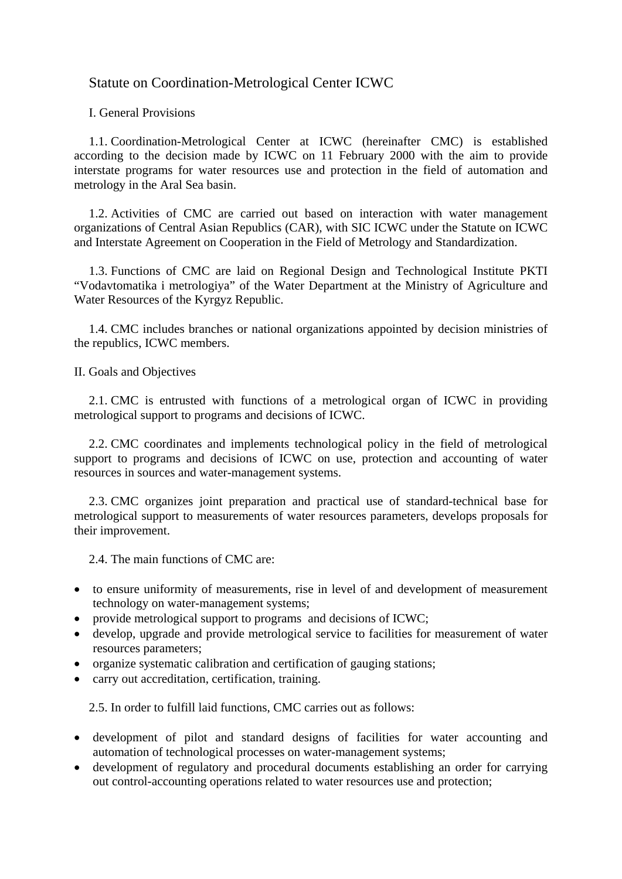## Statute on Coordination-Metrological Center ICWC

I. General Provisions

1.1. Coordination-Metrological Center at ICWC (hereinafter CMC) is established according to the decision made by ICWC on 11 February 2000 with the aim to provide interstate programs for water resources use and protection in the field of automation and metrology in the Aral Sea basin.

1.2. Activities of CMC are carried out based on interaction with water management organizations of Central Asian Republics (CAR), with SIC ICWC under the Statute on ICWC and Interstate Agreement on Cooperation in the Field of Metrology and Standardization.

1.3. Functions of CMC are laid on Regional Design and Technological Institute PKTI "Vodavtomatika i metrologiya" of the Water Department at the Ministry of Agriculture and Water Resources of the Kyrgyz Republic.

1.4. CMC includes branches or national organizations appointed by decision ministries of the republics, ICWC members.

II. Goals and Objectives

2.1. CMC is entrusted with functions of a metrological organ of ICWC in providing metrological support to programs and decisions of ICWC.

2.2. CMC coordinates and implements technological policy in the field of metrological support to programs and decisions of ICWC on use, protection and accounting of water resources in sources and water-management systems.

2.3. CMC organizes joint preparation and practical use of standard-technical base for metrological support to measurements of water resources parameters, develops proposals for their improvement.

2.4. The main functions of CMC are:

- to ensure uniformity of measurements, rise in level of and development of measurement technology on water-management systems;
- provide metrological support to programs and decisions of ICWC;
- develop, upgrade and provide metrological service to facilities for measurement of water resources parameters;
- organize systematic calibration and certification of gauging stations;
- carry out accreditation, certification, training.

2.5. In order to fulfill laid functions, CMC carries out as follows:

- development of pilot and standard designs of facilities for water accounting and automation of technological processes on water-management systems;
- development of regulatory and procedural documents establishing an order for carrying out control-accounting operations related to water resources use and protection;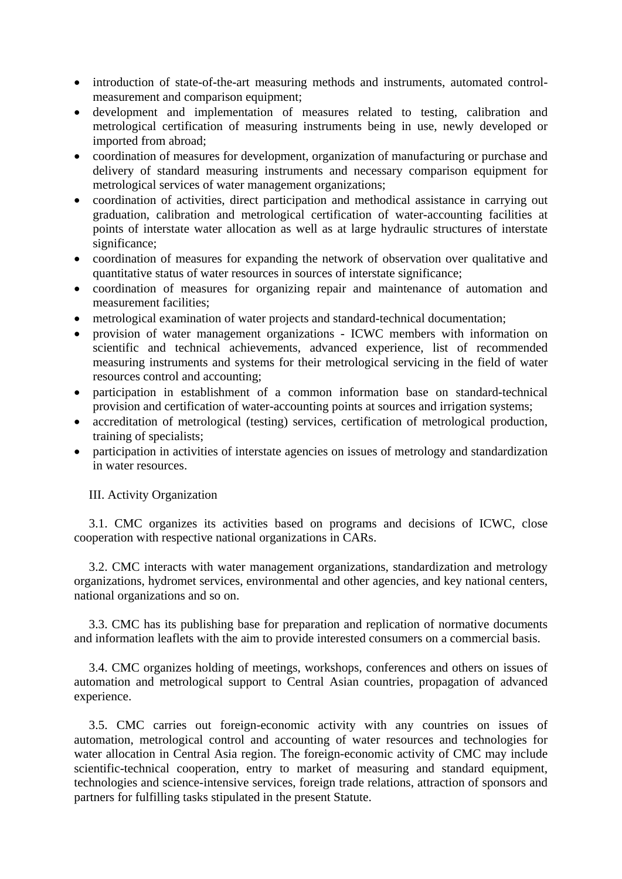- introduction of state-of-the-art measuring methods and instruments, automated controlmeasurement and comparison equipment;
- development and implementation of measures related to testing, calibration and metrological certification of measuring instruments being in use, newly developed or imported from abroad;
- coordination of measures for development, organization of manufacturing or purchase and delivery of standard measuring instruments and necessary comparison equipment for metrological services of water management organizations;
- coordination of activities, direct participation and methodical assistance in carrying out graduation, calibration and metrological certification of water-accounting facilities at points of interstate water allocation as well as at large hydraulic structures of interstate significance;
- coordination of measures for expanding the network of observation over qualitative and quantitative status of water resources in sources of interstate significance;
- coordination of measures for organizing repair and maintenance of automation and measurement facilities;
- metrological examination of water projects and standard-technical documentation;
- provision of water management organizations ICWC members with information on scientific and technical achievements, advanced experience, list of recommended measuring instruments and systems for their metrological servicing in the field of water resources control and accounting;
- participation in establishment of a common information base on standard-technical provision and certification of water-accounting points at sources and irrigation systems;
- accreditation of metrological (testing) services, certification of metrological production, training of specialists;
- participation in activities of interstate agencies on issues of metrology and standardization in water resources.

III. Activity Organization

3.1. CMC organizes its activities based on programs and decisions of ICWC, close cooperation with respective national organizations in CARs.

3.2. CMC interacts with water management organizations, standardization and metrology organizations, hydromet services, environmental and other agencies, and key national centers, national organizations and so on.

3.3. CMC has its publishing base for preparation and replication of normative documents and information leaflets with the aim to provide interested consumers on a commercial basis.

3.4. CMC organizes holding of meetings, workshops, conferences and others on issues of automation and metrological support to Central Asian countries, propagation of advanced experience.

3.5. CMC carries out foreign-economic activity with any countries on issues of automation, metrological control and accounting of water resources and technologies for water allocation in Central Asia region. The foreign-economic activity of CMC may include scientific-technical cooperation, entry to market of measuring and standard equipment, technologies and science-intensive services, foreign trade relations, attraction of sponsors and partners for fulfilling tasks stipulated in the present Statute.